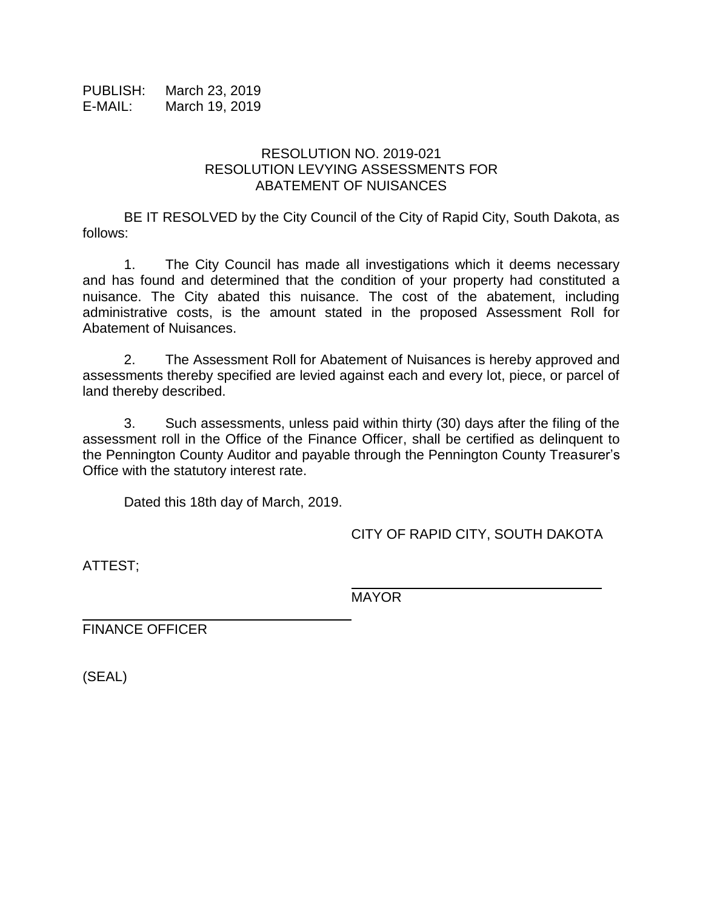PUBLISH: March 23, 2019 E-MAIL: March 19, 2019

## RESOLUTION NO. 2019-021 RESOLUTION LEVYING ASSESSMENTS FOR ABATEMENT OF NUISANCES

BE IT RESOLVED by the City Council of the City of Rapid City, South Dakota, as follows:

1. The City Council has made all investigations which it deems necessary and has found and determined that the condition of your property had constituted a nuisance. The City abated this nuisance. The cost of the abatement, including administrative costs, is the amount stated in the proposed Assessment Roll for Abatement of Nuisances.

2. The Assessment Roll for Abatement of Nuisances is hereby approved and assessments thereby specified are levied against each and every lot, piece, or parcel of land thereby described.

3. Such assessments, unless paid within thirty (30) days after the filing of the assessment roll in the Office of the Finance Officer, shall be certified as delinquent to the Pennington County Auditor and payable through the Pennington County Treasurer's Office with the statutory interest rate.

Dated this 18th day of March, 2019.

CITY OF RAPID CITY, SOUTH DAKOTA

\_\_\_\_\_\_\_\_\_\_\_\_\_\_\_\_\_\_\_\_\_\_\_\_\_\_\_\_\_\_

ATTEST;

MAYOR

FINANCE OFFICER

(SEAL)